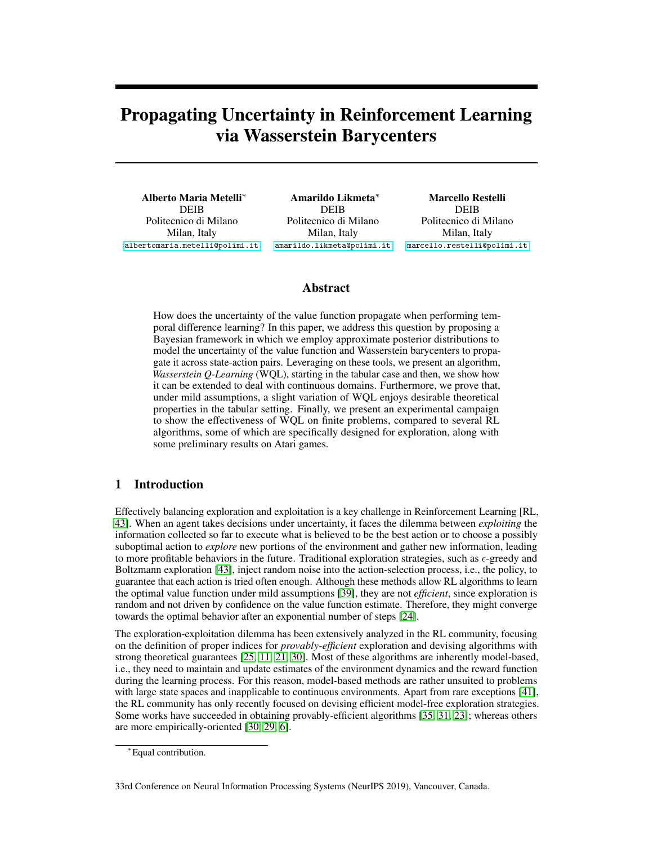# Propagating Uncertainty in Reinforcement Learning via Wasserstein Barycenters

Alberto Maria Metelli<sup>∗</sup> **DEIB** Politecnico di Milano Milan, Italy [albertomaria.metelli@polimi.it](mailto:albertomaria.metelli@polimi.it)

Amarildo Likmeta<sup>∗</sup> **DEIB** Politecnico di Milano Milan, Italy [amarildo.likmeta@polimi.it](mailto:amarildo.likmeta@polimi.it)

Marcello Restelli **DEIB** Politecnico di Milano Milan, Italy [marcello.restelli@polimi.it](mailto:marcello.restelli@polimi.it)

## Abstract

How does the uncertainty of the value function propagate when performing temporal difference learning? In this paper, we address this question by proposing a Bayesian framework in which we employ approximate posterior distributions to model the uncertainty of the value function and Wasserstein barycenters to propagate it across state-action pairs. Leveraging on these tools, we present an algorithm, *Wasserstein Q-Learning* (WQL), starting in the tabular case and then, we show how it can be extended to deal with continuous domains. Furthermore, we prove that, under mild assumptions, a slight variation of WQL enjoys desirable theoretical properties in the tabular setting. Finally, we present an experimental campaign to show the effectiveness of WQL on finite problems, compared to several RL algorithms, some of which are specifically designed for exploration, along with some preliminary results on Atari games.

# 1 Introduction

Effectively balancing exploration and exploitation is a key challenge in Reinforcement Learning [RL, [43\]](#page-11-0). When an agent takes decisions under uncertainty, it faces the dilemma between *exploiting* the information collected so far to execute what is believed to be the best action or to choose a possibly suboptimal action to *explore* new portions of the environment and gather new information, leading to more profitable behaviors in the future. Traditional exploration strategies, such as  $\epsilon$ -greedy and Boltzmann exploration [\[43\]](#page-11-0), inject random noise into the action-selection process, i.e., the policy, to guarantee that each action is tried often enough. Although these methods allow RL algorithms to learn the optimal value function under mild assumptions [\[39\]](#page-11-1), they are not *efficient*, since exploration is random and not driven by confidence on the value function estimate. Therefore, they might converge towards the optimal behavior after an exponential number of steps [\[24\]](#page-10-0).

The exploration-exploitation dilemma has been extensively analyzed in the RL community, focusing on the definition of proper indices for *provably-efficient* exploration and devising algorithms with strong theoretical guarantees [\[25,](#page-10-1) [11,](#page-9-0) [21,](#page-10-2) [30\]](#page-10-3). Most of these algorithms are inherently model-based, i.e., they need to maintain and update estimates of the environment dynamics and the reward function during the learning process. For this reason, model-based methods are rather unsuited to problems with large state spaces and inapplicable to continuous environments. Apart from rare exceptions [\[41\]](#page-11-2), the RL community has only recently focused on devising efficient model-free exploration strategies. Some works have succeeded in obtaining provably-efficient algorithms [\[35,](#page-11-3) [31,](#page-11-4) [23\]](#page-10-4); whereas others are more empirically-oriented [\[30,](#page-10-3) [29,](#page-10-5) [6\]](#page-9-1).

33rd Conference on Neural Information Processing Systems (NeurIPS 2019), Vancouver, Canada.

<sup>∗</sup>Equal contribution.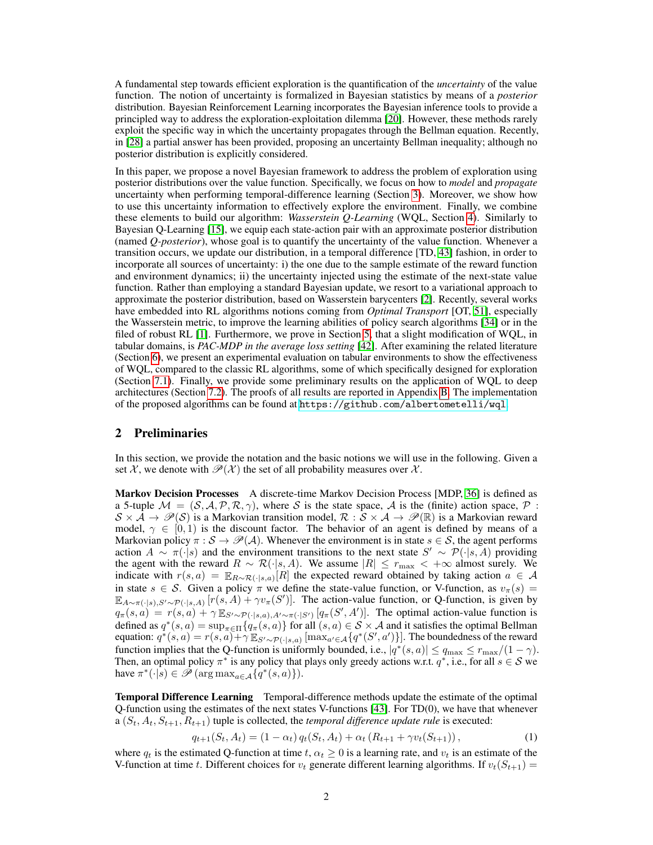A fundamental step towards efficient exploration is the quantification of the *uncertainty* of the value function. The notion of uncertainty is formalized in Bayesian statistics by means of a *posterior* distribution. Bayesian Reinforcement Learning incorporates the Bayesian inference tools to provide a principled way to address the exploration-exploitation dilemma [\[20\]](#page-10-6). However, these methods rarely exploit the specific way in which the uncertainty propagates through the Bellman equation. Recently, in [\[28\]](#page-10-7) a partial answer has been provided, proposing an uncertainty Bellman inequality; although no posterior distribution is explicitly considered.

In this paper, we propose a novel Bayesian framework to address the problem of exploration using posterior distributions over the value function. Specifically, we focus on how to *model* and *propagate* uncertainty when performing temporal-difference learning (Section [3\)](#page-2-0). Moreover, we show how to use this uncertainty information to effectively explore the environment. Finally, we combine these elements to build our algorithm: *Wasserstein Q-Learning* (WQL, Section [4\)](#page-4-0). Similarly to Bayesian Q-Learning [\[15\]](#page-9-2), we equip each state-action pair with an approximate posterior distribution (named *Q-posterior*), whose goal is to quantify the uncertainty of the value function. Whenever a transition occurs, we update our distribution, in a temporal difference [TD, [43\]](#page-11-0) fashion, in order to incorporate all sources of uncertainty: i) the one due to the sample estimate of the reward function and environment dynamics; ii) the uncertainty injected using the estimate of the next-state value function. Rather than employing a standard Bayesian update, we resort to a variational approach to approximate the posterior distribution, based on Wasserstein barycenters [\[2\]](#page-9-3). Recently, several works have embedded into RL algorithms notions coming from *Optimal Transport* [OT, [51\]](#page-12-0), especially the Wasserstein metric, to improve the learning abilities of policy search algorithms [\[34\]](#page-11-5) or in the filed of robust RL [\[1\]](#page-8-0). Furthermore, we prove in Section [5,](#page-5-0) that a slight modification of WQL, in tabular domains, is *PAC-MDP in the average loss setting* [\[42\]](#page-11-6). After examining the related literature (Section [6\)](#page-6-0), we present an experimental evaluation on tabular environments to show the effectiveness of WQL, compared to the classic RL algorithms, some of which specifically designed for exploration (Section [7.1\)](#page-6-1). Finally, we provide some preliminary results on the application of WQL to deep architectures (Section [7.2\)](#page-7-0). The proofs of all results are reported in Appendix [B.](#page--1-0) The implementation of the proposed algorithms can be found at <https://github.com/albertometelli/wql>.

## 2 Preliminaries

In this section, we provide the notation and the basic notions we will use in the following. Given a set X, we denote with  $\mathcal{P}(\mathcal{X})$  the set of all probability measures over X.

Markov Decision Processes A discrete-time Markov Decision Process [MDP, [36\]](#page-11-7) is defined as a 5-tuple  $\mathcal{M} = (\mathcal{S}, \mathcal{A}, \mathcal{P}, \mathcal{R}, \gamma)$ , where S is the state space, A is the (finite) action space, P:  $S \times \hat{A} \to \mathscr{P}(S)$  is a Markovian transition model,  $\mathcal{R} : \mathcal{S} \times \mathcal{A} \to \mathscr{P}(\mathbb{R})$  is a Markovian reward model,  $\gamma \in [0, 1)$  is the discount factor. The behavior of an agent is defined by means of a Markovian policy  $\pi : \mathcal{S} \to \mathcal{P}(\mathcal{A})$ . Whenever the environment is in state  $s \in \mathcal{S}$ , the agent performs action  $A \sim \pi(\cdot|s)$  and the environment transitions to the next state  $S' \sim \mathcal{P}(\cdot|s, A)$  providing the agent with the reward  $R \sim \mathcal{R}(\cdot|s, A)$ . We assume  $|R| \le r_{\text{max}} < +\infty$  almost surely. We indicate with  $r(s, a) = \mathbb{E}_{R \sim \mathcal{R}(\cdot | s, a)}[R]$  the expected reward obtained by taking action  $a \in \mathcal{A}$ in state  $s \in \mathcal{S}$ . Given a policy  $\pi$  we define the state-value function, or V-function, as  $v_{\pi}(s)$  =  $\mathbb{E}_{A\sim\pi(\cdot|s),S'\sim\mathcal{P}(\cdot|s,A)} [r(s,A)+\gamma v_{\pi}(S')].$  The action-value function, or Q-function, is given by  $q_{\pi}(s, a) = r(s, a) + \gamma \mathbb{E}_{S' \sim \mathcal{P}(\cdot | s, a), A' \sim \pi(\cdot | S')} [q_{\pi}(S', A')].$  The optimal action-value function is defined as  $q^*(s, a) = \sup_{\pi \in \Pi} \{q_{\pi}(s, a)\}\$  for all  $(s, a) \in S \times A$  and it satisfies the optimal Bellman equation:  $q^*(s, a) = r(s, a) + \gamma \mathbb{E}_{S' \sim \mathcal{P}(\cdot | s, a)}[\max_{a' \in A} \{q^*(S', a')\}]$ . The boundedness of the reward function implies that the Q-function is uniformly bounded, i.e.,  $|q^*(s, a)| \le q_{\text{max}} \le r_{\text{max}}/(1 - \gamma)$ . Then, an optimal policy  $\pi^*$  is any policy that plays only greedy actions w.r.t.  $q^*$ , i.e., for all  $s \in S$  we have  $\pi^*(\cdot|\hat{s}) \in \hat{\mathscr{P}}(\arg \max_{a \in \mathcal{A}} \{q^*(s, a)\}).$ 

Temporal Difference Learning Temporal-difference methods update the estimate of the optimal Q-function using the estimates of the next states V-functions [\[43\]](#page-11-0). For TD(0), we have that whenever a  $(S_t, A_t, S_{t+1}, R_{t+1})$  tuple is collected, the *temporal difference update rule* is executed:

<span id="page-1-0"></span> $q_{t+1}(S_t, A_t) = (1 - \alpha_t) q_t(S_t, A_t) + \alpha_t (R_{t+1} + \gamma v_t(S_{t+1})),$ (1)

where  $q_t$  is the estimated Q-function at time  $t, \alpha_t \geq 0$  is a learning rate, and  $v_t$  is an estimate of the V-function at time t. Different choices for  $v_t$  generate different learning algorithms. If  $v_t(S_{t+1})$  =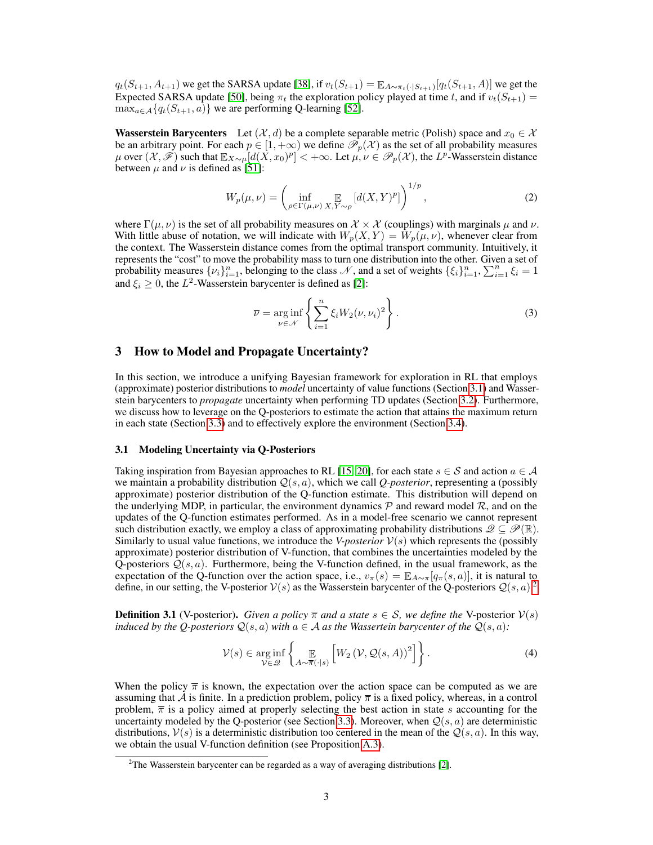$q_t(S_{t+1}, A_{t+1})$  we get the SARSA update [\[38\]](#page-11-8), if  $v_t(S_{t+1}) = \mathbb{E}_{A \sim \pi_t(\cdot | S_{t+1})}[q_t(S_{t+1}, A)]$  we get the Expected SARSA update [\[50\]](#page-12-1), being  $\pi_t$  the exploration policy played at time t, and if  $v_t(S_{t+1}) =$  $\max_{a \in \mathcal{A}} \{q_t(S_{t+1}, a)\}\$  we are performing Q-learning [\[52\]](#page-12-2).

**Wasserstein Barycenters** Let  $(\mathcal{X}, d)$  be a complete separable metric (Polish) space and  $x_0 \in \mathcal{X}$ be an arbitrary point. For each  $p \in [1, +\infty)$  we define  $\mathcal{P}_p(\mathcal{X})$  as the set of all probability measures  $\mu$  over  $(\mathcal{X}, \mathscr{F})$  such that  $\mathbb{E}_{X\sim \mu}[d(X, x_0)^p] < +\infty$ . Let  $\mu, \nu \in \mathscr{P}_p(\mathcal{X})$ , the  $L^p$ -Wasserstein distance between  $\mu$  and  $\nu$  is defined as [\[51\]](#page-12-0):

$$
W_p(\mu, \nu) = \left(\inf_{\rho \in \Gamma(\mu, \nu)} \mathop{\mathbb{E}}_{X, Y \sim \rho} \left[ d(X, Y)^p \right] \right)^{1/p},\tag{2}
$$

where  $\Gamma(\mu, \nu)$  is the set of all probability measures on  $\mathcal{X} \times \mathcal{X}$  (couplings) with marginals  $\mu$  and  $\nu$ . With little abuse of notation, we will indicate with  $W_p(X, Y) = W_p(\mu, \nu)$ , whenever clear from the context. The Wasserstein distance comes from the optimal transport community. Intuitively, it represents the "cost" to move the probability mass to turn one distribution into the other. Given a set of probability measures  $\{\nu_i\}_{i=1}^n$ , belonging to the class  $\mathcal N$ , and a set of weights  $\{\xi_i\}_{i=1}^n$ ,  $\sum_{i=1}^n \xi_i = 1$ and  $\xi_i \geq 0$ , the  $L^2$ -Wasserstein barycenter is defined as [\[2\]](#page-9-3):

$$
\overline{\nu} = \underset{\nu \in \mathcal{N}}{\arg \inf} \left\{ \sum_{i=1}^{n} \xi_i W_2(\nu, \nu_i)^2 \right\}.
$$
 (3)

## <span id="page-2-0"></span>3 How to Model and Propagate Uncertainty?

In this section, we introduce a unifying Bayesian framework for exploration in RL that employs (approximate) posterior distributions to *model* uncertainty of value functions (Section [3.1\)](#page-2-1) and Wasserstein barycenters to *propagate* uncertainty when performing TD updates (Section [3.2\)](#page-3-0). Furthermore, we discuss how to leverage on the Q-posteriors to estimate the action that attains the maximum return in each state (Section [3.3\)](#page-3-1) and to effectively explore the environment (Section [3.4\)](#page-4-1).

#### <span id="page-2-1"></span>3.1 Modeling Uncertainty via Q-Posteriors

Taking inspiration from Bayesian approaches to RL [\[15,](#page-9-2) [20\]](#page-10-6), for each state  $s \in S$  and action  $a \in A$ we maintain a probability distribution Q(s, a), which we call *Q-posterior*, representing a (possibly approximate) posterior distribution of the Q-function estimate. This distribution will depend on the underlying MDP, in particular, the environment dynamics  $P$  and reward model  $R$ , and on the updates of the Q-function estimates performed. As in a model-free scenario we cannot represent such distribution exactly, we employ a class of approximating probability distributions  $\mathscr{Q} \subseteq \mathscr{P}(\mathbb{R})$ . Similarly to usual value functions, we introduce the *V-posterior*  $V(s)$  which represents the (possibly approximate) posterior distribution of V-function, that combines the uncertainties modeled by the Q-posteriors  $Q(s, a)$ . Furthermore, being the V-function defined, in the usual framework, as the expectation of the Q-function over the action space, i.e.,  $v_\pi(s) = \mathbb{E}_{A \sim \pi} |q_\pi(s, a)|$ , it is natural to define, in our setting, the V-posterior  $V(s)$  as the Wasserstein barycenter of the Q-posteriors  $Q(s, a)$ .<sup>[2](#page-2-2)</sup>

<span id="page-2-3"></span>**Definition 3.1** (V-posterior). *Given a policy*  $\overline{\pi}$  *and a state*  $s \in S$ *, we define the* V-posterior  $V(s)$ *induced by the Q-posteriors*  $\mathcal{Q}(s, a)$  *with*  $a \in \mathcal{A}$  *as the Wassertein barycenter of the*  $\mathcal{Q}(s, a)$ *:* 

<span id="page-2-4"></span>
$$
\mathcal{V}(s) \in \underset{\mathcal{V} \in \mathcal{D}}{\arg \inf} \left\{ \mathop{\mathbb{E}}_{A \sim \overline{\pi}(\cdot | s)} \left[ W_2 \left( \mathcal{V}, \mathcal{Q}(s, A) \right)^2 \right] \right\}.
$$
 (4)

When the policy  $\bar{\pi}$  is known, the expectation over the action space can be computed as we are assuming that A is finite. In a prediction problem, policy  $\bar{\pi}$  is a fixed policy, whereas, in a control problem,  $\overline{\pi}$  is a policy aimed at properly selecting the best action in state s accounting for the uncertainty modeled by the Q-posterior (see Section [3.3\)](#page-3-1). Moreover, when  $Q(s, a)$  are deterministic distributions,  $V(s)$  is a deterministic distribution too centered in the mean of the  $Q(s, a)$ . In this way, we obtain the usual V-function definition (see Proposition [A.3\)](#page--1-1).

<span id="page-2-2"></span> $2$ The Wasserstein barycenter can be regarded as a way of averaging distributions [\[2\]](#page-9-3).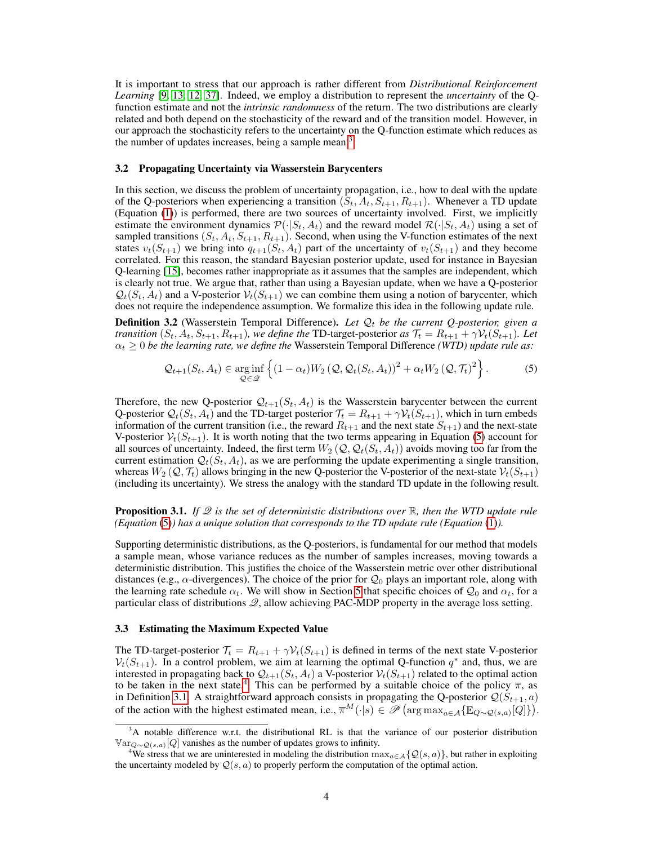It is important to stress that our approach is rather different from *Distributional Reinforcement Learning* [\[9,](#page-9-4) [13,](#page-9-5) [12,](#page-9-6) [37\]](#page-11-9). Indeed, we employ a distribution to represent the *uncertainty* of the Qfunction estimate and not the *intrinsic randomness* of the return. The two distributions are clearly related and both depend on the stochasticity of the reward and of the transition model. However, in our approach the stochasticity refers to the uncertainty on the Q-function estimate which reduces as the number of updates increases, being a sample mean.<sup>[3](#page-3-2)</sup>

#### <span id="page-3-0"></span>3.2 Propagating Uncertainty via Wasserstein Barycenters

In this section, we discuss the problem of uncertainty propagation, i.e., how to deal with the update of the Q-posteriors when experiencing a transition  $(S_t, A_t, S_{t+1}, R_{t+1})$ . Whenever a TD update (Equation [\(1\)](#page-1-0)) is performed, there are two sources of uncertainty involved. First, we implicitly estimate the environment dynamics  $\mathcal{P}(\cdot|S_t, A_t)$  and the reward model  $\mathcal{R}(\cdot|S_t, A_t)$  using a set of sampled transitions  $(S_t, A_t, S_{t+1}, R_{t+1})$ . Second, when using the V-function estimates of the next states  $v_t(S_{t+1})$  we bring into  $q_{t+1}(S_t, A_t)$  part of the uncertainty of  $v_t(S_{t+1})$  and they become correlated. For this reason, the standard Bayesian posterior update, used for instance in Bayesian Q-learning [\[15\]](#page-9-2), becomes rather inappropriate as it assumes that the samples are independent, which is clearly not true. We argue that, rather than using a Bayesian update, when we have a Q-posterior  $\mathcal{Q}_t(S_t, A_t)$  and a V-posterior  $\mathcal{V}_t(S_{t+1})$  we can combine them using a notion of barycenter, which does not require the independence assumption. We formalize this idea in the following update rule.

**Definition 3.2** (Wasserstein Temporal Difference). Let  $Q_t$  be the current Q-posterior, given a *transition*  $(S_t, A_t, S_{t+1}, R_{t+1})$ *, we define the* TD-target-posterior *as*  $\mathcal{T}_t = R_{t+1} + \gamma \mathcal{V}_t(S_{t+1})$ *. Let*  $\alpha_t \geq 0$  *be the learning rate, we define the Wasserstein Temporal Difference <i>(WTD) update rule as:* 

<span id="page-3-3"></span>
$$
\mathcal{Q}_{t+1}(S_t, A_t) \in \underset{\mathcal{Q} \in \mathcal{Q}}{\arg\inf} \left\{ (1 - \alpha_t) W_2 \left( \mathcal{Q}, \mathcal{Q}_t(S_t, A_t) \right)^2 + \alpha_t W_2 \left( \mathcal{Q}, \mathcal{T}_t \right)^2 \right\}.
$$
 (5)

Therefore, the new Q-posterior  $Q_{t+1}(S_t, A_t)$  is the Wasserstein barycenter between the current Q-posterior  $Q_t(S_t, A_t)$  and the TD-target posterior  $\mathcal{T}_t = R_{t+1} + \gamma \mathcal{V}_t(S_{t+1})$ , which in turn embeds information of the current transition (i.e., the reward  $R_{t+1}$  and the next state  $S_{t+1}$ ) and the next-state V-posterior  $V_t(S_{t+1})$ . It is worth noting that the two terms appearing in Equation [\(5\)](#page-3-3) account for all sources of uncertainty. Indeed, the first term  $W_2(Q, Q_t(S_t, A_t))$  avoids moving too far from the current estimation  $\mathcal{Q}_t(S_t, A_t)$ , as we are performing the update experimenting a single transition, whereas  $W_2(Q, \mathcal{T}_t)$  allows bringing in the new Q-posterior the V-posterior of the next-state  $\mathcal{V}_t(S_{t+1})$ (including its uncertainty). We stress the analogy with the standard TD update in the following result.

**Proposition 3.1.** *If*  $\mathscr Q$  *is the set of deterministic distributions over*  $\mathbb R$ *, then the WTD update rule (Equation* [\(5\)](#page-3-3)*) has a unique solution that corresponds to the TD update rule (Equation* [\(1\)](#page-1-0)*).*

Supporting deterministic distributions, as the Q-posteriors, is fundamental for our method that models a sample mean, whose variance reduces as the number of samples increases, moving towards a deterministic distribution. This justifies the choice of the Wasserstein metric over other distributional distances (e.g.,  $\alpha$ -divergences). The choice of the prior for  $\mathcal{Q}_0$  plays an important role, along with the learning rate schedule  $\alpha_t$ . We will show in Section [5](#page-5-0) that specific choices of  $\mathcal{Q}_0$  and  $\alpha_t$ , for a particular class of distributions  $\mathcal{Q}$ , allow achieving PAC-MDP property in the average loss setting.

#### <span id="page-3-1"></span>3.3 Estimating the Maximum Expected Value

The TD-target-posterior  $\mathcal{T}_t = R_{t+1} + \gamma \mathcal{V}_t(S_{t+1})$  is defined in terms of the next state V-posterior  $V_t(S_{t+1})$ . In a control problem, we aim at learning the optimal Q-function  $q^*$  and, thus, we are interested in propagating back to  $\mathcal{Q}_{t+1}(S_t, A_t)$  a V-posterior  $\mathcal{V}_t(S_{t+1})$  related to the optimal action to be taken in the next state.<sup>[4](#page-3-4)</sup> This can be performed by a suitable choice of the policy  $\overline{\pi}$ , as in Definition [3.1.](#page-2-3) A straightforward approach consists in propagating the Q-posterior  $\mathcal{Q}(S_{t+1}, a)$ of the action with the highest estimated mean, i.e.,  $\overline{\pi}^M(\cdot|s) \in \mathscr{P}(\arg \max_{a \in \mathcal{A}} {\mathbb{E}_{Q \sim \mathcal{Q}(s,a)}[Q]}).$ 

<span id="page-3-2"></span><sup>&</sup>lt;sup>3</sup>A notable difference w.r.t. the distributional RL is that the variance of our posterior distribution  $\mathbb{V}\text{ar}_{Q\sim Q(s,a)}[Q]$  vanishes as the number of updates grows to infinity.

<span id="page-3-4"></span><sup>&</sup>lt;sup>4</sup>We stress that we are uninterested in modeling the distribution  $\max_{a \in \mathcal{A}} \{ \mathcal{Q}(s, a) \}$ , but rather in exploiting the uncertainty modeled by  $Q(s, a)$  to properly perform the computation of the optimal action.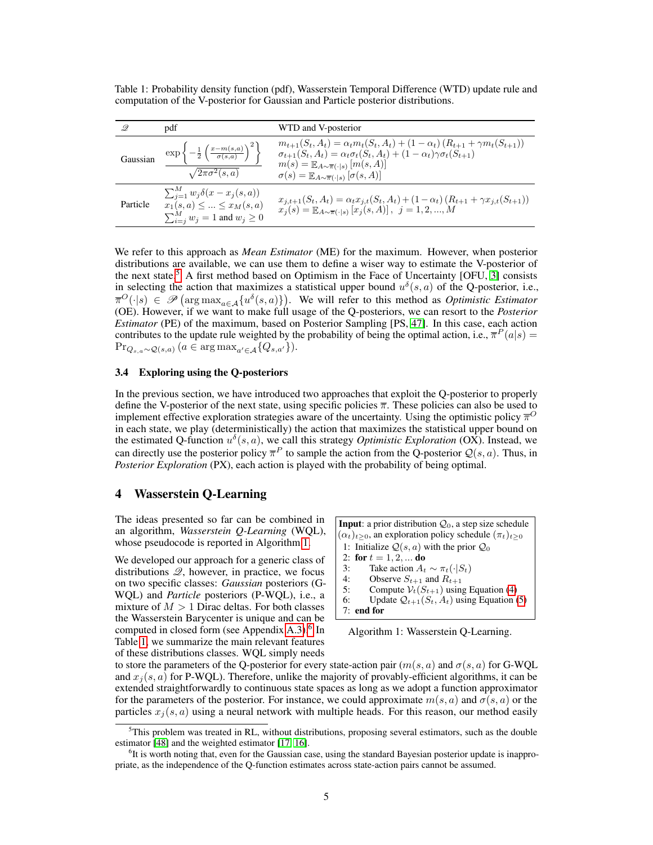<span id="page-4-5"></span>Table 1: Probability density function (pdf), Wasserstein Temporal Difference (WTD) update rule and computation of the V-posterior for Gaussian and Particle posterior distributions.

| 9.       | pdf                                                                                                                    | WTD and V-posterior                                                                                                                                                                                                                                                                                                                                 |
|----------|------------------------------------------------------------------------------------------------------------------------|-----------------------------------------------------------------------------------------------------------------------------------------------------------------------------------------------------------------------------------------------------------------------------------------------------------------------------------------------------|
| Gaussian | $\exp\left\{-\frac{1}{2}\left(\frac{x-m(s,a)}{\sigma(s,a)}\right)^2\right\}$<br>$\sqrt{2\pi\sigma^2(s,a)}$             | $m_{t+1}(S_t, A_t) = \alpha_t m_t(S_t, A_t) + (1 - \alpha_t) (R_{t+1} + \gamma m_t(S_{t+1}))$<br>$\sigma_{t+1}(S_t, A_t) = \alpha_t \sigma_t(S_t, A_t) + (1 - \alpha_t) \gamma \sigma_t(S_{t+1})$<br>$m(s) = \mathbb{E}_{A \sim \overline{\pi}(\cdot   s)} [m(s, A)]$<br>$\sigma(s) = \mathbb{E}_{A \sim \overline{\pi}(\cdot   s)} [\sigma(s, A)]$ |
| Particle | $\sum_{j=1}^M w_j \delta(x-x_j(s,a))$<br>$x_1(s, a) \leq  \leq x_M(s, a)$<br>$\sum_{i=j}^{M} w_j = 1$ and $w_j \geq 0$ | $x_{j,t+1}(S_t, A_t) = \alpha_t x_{j,t}(S_t, A_t) + (1 - \alpha_t) (R_{t+1} + \gamma x_{j,t}(S_{t+1}))$<br>$x_j(s) = \mathbb{E}_{A \sim \overline{\pi}(\cdot   s)} [x_j(s, A)], j = 1, 2, , M$                                                                                                                                                      |

We refer to this approach as *Mean Estimator* (ME) for the maximum. However, when posterior distributions are available, we can use them to define a wiser way to estimate the V-posterior of the next state.<sup>[5](#page-4-2)</sup> A first method based on Optimism in the Face of Uncertainty [OFU, [3\]](#page-9-7) consists in selecting the action that maximizes a statistical upper bound  $u^{\delta}(s, a)$  of the Q-posterior, i.e.,  $\overline{\pi}^O(\cdot|s) \in \mathscr{P}(\arg \max_{a \in A} \{u^{\delta}(s,a)\})$ . We will refer to this method as *Optimistic Estimator* (OE). However, if we want to make full usage of the Q-posteriors, we can resort to the *Posterior Estimator* (PE) of the maximum, based on Posterior Sampling [PS, [47\]](#page-12-3). In this case, each action contributes to the update rule weighted by the probability of being the optimal action, i.e.,  $\overline{\pi}^P(a|s)$  $\Pr_{Q_{s,a}\sim \mathcal{Q}(s,a)} (a \in \arg \max_{a' \in \mathcal{A}} \{Q_{s,a'}\}).$ 

## <span id="page-4-1"></span>3.4 Exploring using the Q-posteriors

In the previous section, we have introduced two approaches that exploit the Q-posterior to properly define the V-posterior of the next state, using specific policies  $\overline{\pi}$ . These policies can also be used to implement effective exploration strategies aware of the uncertainty. Using the optimistic policy  $\pi^0$ in each state, we play (deterministically) the action that maximizes the statistical upper bound on the estimated Q-function  $u^{\delta}(s, a)$ , we call this strategy *Optimistic Exploration* (OX). Instead, we can directly use the posterior policy  $\overline{\pi}^P$  to sample the action from the Q-posterior  $Q(s, a)$ . Thus, in *Posterior Exploration* (PX), each action is played with the probability of being optimal.

## <span id="page-4-0"></span>4 Wasserstein Q-Learning

The ideas presented so far can be combined in an algorithm, *Wasserstein Q-Learning* (WQL), whose pseudocode is reported in Algorithm [1.](#page-4-3)

We developed our approach for a generic class of distributions  $\mathcal{Q}$ , however, in practice, we focus on two specific classes: *Gaussian* posteriors (G-WQL) and *Particle* posteriors (P-WQL), i.e., a mixture of  $M > 1$  Dirac deltas. For both classes the Wasserstein Barycenter is unique and can be computed in closed form (see Appendix [A.3\)](#page--1-1).<sup>[6](#page-4-4)</sup> In Table [1,](#page-4-5) we summarize the main relevant features of these distributions classes. WQL simply needs

<span id="page-4-3"></span>**Input**: a prior distribution  $Q_0$ , a step size schedule  $(\alpha_t)_{t\geq0}$ , an exploration policy schedule  $(\pi_t)_{t\geq0}$ 1: Initialize  $Q(s, a)$  with the prior  $Q_0$ 2: for  $t = 1, 2, ...$  do 3: Take action  $A_t \sim \pi_t(\cdot|S_t)$ <br>4: Observe  $S_{t+1}$  and  $R_{t+1}$ Observe  $S_{t+1}$  and  $R_{t+1}$ 5: Compute  $V_t(S_{t+1})$  using Equation [\(4\)](#page-2-4) 6: Update  $Q_{t+1}(S_t, A_t)$  using Equation [\(5\)](#page-3-3) 7: end for

Algorithm 1: Wasserstein Q-Learning.

to store the parameters of the Q-posterior for every state-action pair  $(m(s, a)$  and  $\sigma(s, a)$  for G-WQL and  $x_j(s, a)$  for P-WQL). Therefore, unlike the majority of provably-efficient algorithms, it can be extended straightforwardly to continuous state spaces as long as we adopt a function approximator for the parameters of the posterior. For instance, we could approximate  $m(s, a)$  and  $\sigma(s, a)$  or the particles  $x_i(s, a)$  using a neural network with multiple heads. For this reason, our method easily

<span id="page-4-2"></span> $5$ This problem was treated in RL, without distributions, proposing several estimators, such as the double estimator [\[48\]](#page-12-4) and the weighted estimator [\[17,](#page-10-8) [16\]](#page-9-8).

<span id="page-4-4"></span><sup>&</sup>lt;sup>6</sup>It is worth noting that, even for the Gaussian case, using the standard Bayesian posterior update is inappropriate, as the independence of the Q-function estimates across state-action pairs cannot be assumed.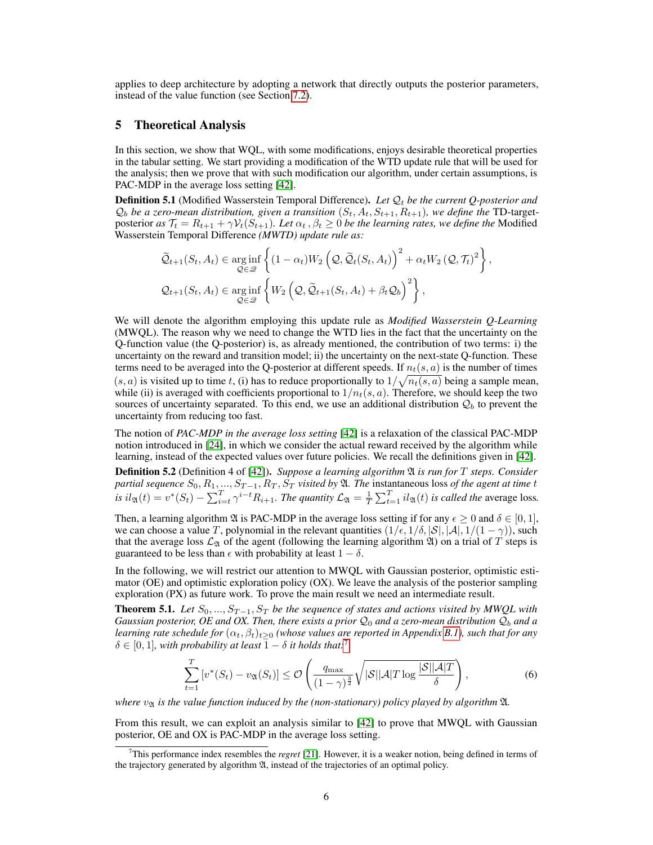applies to deep architecture by adopting a network that directly outputs the posterior parameters, instead of the value function (see Section [7.2\)](#page-7-0).

## <span id="page-5-0"></span>5 Theoretical Analysis

In this section, we show that WQL, with some modifications, enjoys desirable theoretical properties in the tabular setting. We start providing a modification of the WTD update rule that will be used for the analysis; then we prove that with such modification our algorithm, under certain assumptions, is PAC-MDP in the average loss setting [\[42\]](#page-11-6).

**Definition 5.1** (Modified Wasserstein Temporal Difference). Let  $\mathcal{Q}_t$  be the current Q-posterior and  $\mathcal{Q}_b$  *be a zero-mean distribution, given a transition*  $(S_t, A_t, S_{t+1}, R_{t+1})$ *, we define the* TD-targetposterior *as*  $\mathcal{T}_t = R_{t+1} + \gamma \mathcal{V}_t(S_{t+1})$ *. Let*  $\alpha_t, \beta_t \geq 0$  *be the learning rates, we define the* Modified Wasserstein Temporal Difference *(MWTD) update rule as:*

$$
\widetilde{\mathcal{Q}}_{t+1}(S_t, A_t) \in \underset{\mathcal{Q} \in \mathcal{Q}}{\arg \inf} \left\{ (1 - \alpha_t) W_2 \left( \mathcal{Q}, \widetilde{\mathcal{Q}}_t(S_t, A_t) \right)^2 + \alpha_t W_2 \left( \mathcal{Q}, \mathcal{T}_t \right)^2 \right\},
$$
\n
$$
\mathcal{Q}_{t+1}(S_t, A_t) \in \underset{\mathcal{Q} \in \mathcal{Q}}{\arg \inf} \left\{ W_2 \left( \mathcal{Q}, \widetilde{\mathcal{Q}}_{t+1}(S_t, A_t) + \beta_t \mathcal{Q}_b \right)^2 \right\},
$$

We will denote the algorithm employing this update rule as *Modified Wasserstein Q-Learning* (MWQL). The reason why we need to change the WTD lies in the fact that the uncertainty on the Q-function value (the Q-posterior) is, as already mentioned, the contribution of two terms: i) the uncertainty on the reward and transition model; ii) the uncertainty on the next-state Q-function. These terms need to be averaged into the Q-posterior at different speeds. If  $n_t(s, a)$  is the number of times  $(s, a)$  is visited up to time t, (i) has to reduce proportionally to  $1/\sqrt{n_t(s, a)}$  being a sample mean, while (ii) is averaged with coefficients proportional to  $1/n_t(s, a)$ . Therefore, we should keep the two sources of uncertainty separated. To this end, we use an additional distribution  $\mathcal{Q}_b$  to prevent the uncertainty from reducing too fast.

The notion of *PAC-MDP in the average loss setting* [\[42\]](#page-11-6) is a relaxation of the classical PAC-MDP notion introduced in [\[24\]](#page-10-0), in which we consider the actual reward received by the algorithm while learning, instead of the expected values over future policies. We recall the definitions given in [\[42\]](#page-11-6).

Definition 5.2 (Definition 4 of [\[42\]](#page-11-6)). *Suppose a learning algorithm* A *is run for* T *steps. Consider*  $\emph{partial sequence }~S_0, R_1, ..., S_{T-1}, R_T, S_T$  *visited by*  $\mathfrak A$ *. The instantaneous loss of the agent at time t is*  $il_{\mathfrak{A}}(t) = v^*(S_t) - \sum_{i=t}^T \gamma^{i-t} R_{i+1}$ . The quantity  $\mathcal{L}_{\mathfrak{A}} = \frac{1}{T} \sum_{t=1}^T il_{\mathfrak{A}}(t)$  *is called the average loss.* 

Then, a learning algorithm  $\mathfrak A$  is PAC-MDP in the average loss setting if for any  $\epsilon \geq 0$  and  $\delta \in [0,1]$ , we can choose a value T, polynomial in the relevant quantities  $(1/\epsilon, 1/\delta, |\mathcal{S}|, |\mathcal{A}|, 1/(1 - \gamma))$ , such that the average loss  $\mathcal{L}_{\mathfrak{A}}$  of the agent (following the learning algorithm  $\mathfrak{A}$ ) on a trial of T steps is guaranteed to be less than  $\epsilon$  with probability at least  $1 - \delta$ .

In the following, we will restrict our attention to MWQL with Gaussian posterior, optimistic estimator (OE) and optimistic exploration policy (OX). We leave the analysis of the posterior sampling exploration (PX) as future work. To prove the main result we need an intermediate result.

<span id="page-5-2"></span>**Theorem 5.1.** *Let*  $S_0$ , ...,  $S_{T-1}$ ,  $S_T$  *be the sequence of states and actions visited by MWQL with Gaussian posterior, OE and OX. Then, there exists a prior*  $Q_0$  *and a zero-mean distribution*  $Q_b$  *and a learning rate schedule for*  $(\alpha_t, \beta_t)_{t>0}$  *(whose values are reported in Appendix [B.1\)](#page--1-2), such that for any*  $\delta \in [0, 1]$ *, with probability at least*  $1 - \delta$  *it holds that:*<sup>[7](#page-5-1)</sup>

$$
\sum_{t=1}^{T} \left[ v^*(S_t) - v_{\mathfrak{A}}(S_t) \right] \leq \mathcal{O}\left( \frac{q_{\max}}{(1-\gamma)^{\frac{3}{2}}} \sqrt{|\mathcal{S}||\mathcal{A}|T \log \frac{|\mathcal{S}||\mathcal{A}|T}{\delta}} \right),\tag{6}
$$

*where*  $v_{\mathfrak{A}}$  *is the value function induced by the (non-stationary) policy played by algorithm*  $\mathfrak{A}$ *.* 

From this result, we can exploit an analysis similar to [\[42\]](#page-11-6) to prove that MWQL with Gaussian posterior, OE and OX is PAC-MDP in the average loss setting.

<span id="page-5-1"></span><sup>7</sup>This performance index resembles the *regret* [\[21\]](#page-10-2). However, it is a weaker notion, being defined in terms of the trajectory generated by algorithm A, instead of the trajectories of an optimal policy.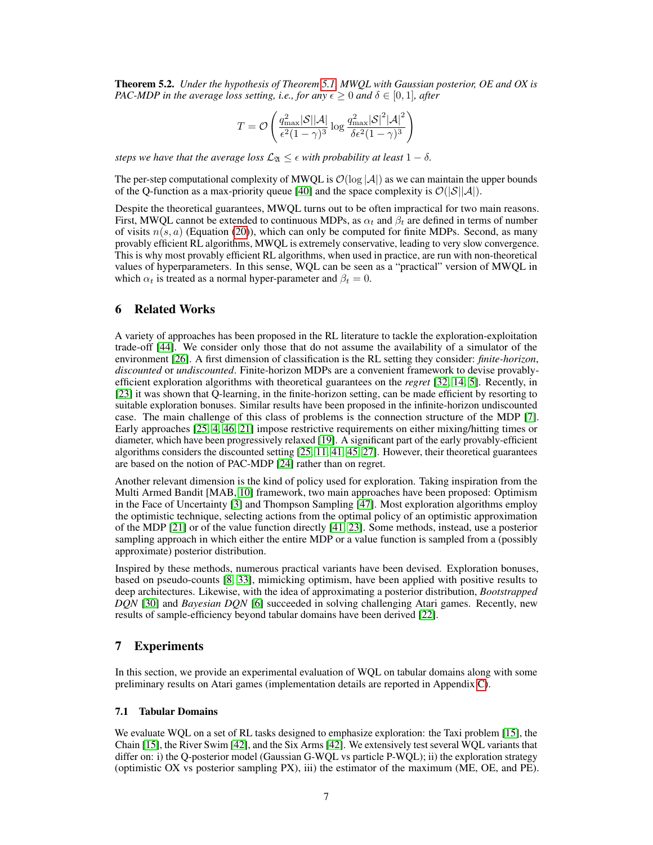Theorem 5.2. *Under the hypothesis of Theorem [5.1,](#page-5-2) MWQL with Gaussian posterior, OE and OX is PAC-MDP in the average loss setting, i.e., for any*  $\epsilon > 0$  *and*  $\delta \in [0, 1]$ *, after* 

$$
T = \mathcal{O}\left(\frac{q_{\text{max}}^2|\mathcal{S}||\mathcal{A}|}{\epsilon^2(1-\gamma)^3}\log\frac{q_{\text{max}}^2|\mathcal{S}|^2|\mathcal{A}|^2}{\delta\epsilon^2(1-\gamma)^3}\right)
$$

*steps we have that the average loss*  $\mathcal{L}_{\mathfrak{A}} \leq \epsilon$  *with probability at least*  $1 - \delta$ *.* 

The per-step computational complexity of MWQL is  $\mathcal{O}(\log |\mathcal{A}|)$  as we can maintain the upper bounds of the Q-function as a max-priority queue [\[40\]](#page-11-10) and the space complexity is  $\mathcal{O}(|\mathcal{S}||\mathcal{A}|)$ .

Despite the theoretical guarantees, MWQL turns out to be often impractical for two main reasons. First, MWQL cannot be extended to continuous MDPs, as  $\alpha_t$  and  $\beta_t$  are defined in terms of number of visits  $n(s, a)$  (Equation [\(20\)](#page--1-3)), which can only be computed for finite MDPs. Second, as many provably efficient RL algorithms, MWQL is extremely conservative, leading to very slow convergence. This is why most provably efficient RL algorithms, when used in practice, are run with non-theoretical values of hyperparameters. In this sense, WQL can be seen as a "practical" version of MWQL in which  $\alpha_t$  is treated as a normal hyper-parameter and  $\beta_t = 0$ .

## <span id="page-6-0"></span>6 Related Works

A variety of approaches has been proposed in the RL literature to tackle the exploration-exploitation trade-off [\[44\]](#page-11-11). We consider only those that do not assume the availability of a simulator of the environment [\[26\]](#page-10-9). A first dimension of classification is the RL setting they consider: *finite-horizon*, *discounted* or *undiscounted*. Finite-horizon MDPs are a convenient framework to devise provablyefficient exploration algorithms with theoretical guarantees on the *regret* [\[32,](#page-11-12) [14,](#page-9-9) [5\]](#page-9-10). Recently, in [\[23\]](#page-10-4) it was shown that Q-learning, in the finite-horizon setting, can be made efficient by resorting to suitable exploration bonuses. Similar results have been proposed in the infinite-horizon undiscounted case. The main challenge of this class of problems is the connection structure of the MDP [\[7\]](#page-9-11). Early approaches [\[25,](#page-10-1) [4,](#page-9-12) [46,](#page-11-13) [21\]](#page-10-2) impose restrictive requirements on either mixing/hitting times or diameter, which have been progressively relaxed [\[19\]](#page-10-10). A significant part of the early provably-efficient algorithms considers the discounted setting [\[25,](#page-10-1) [11,](#page-9-0) [41,](#page-11-2) [45,](#page-11-14) [27\]](#page-10-11). However, their theoretical guarantees are based on the notion of PAC-MDP [\[24\]](#page-10-0) rather than on regret.

Another relevant dimension is the kind of policy used for exploration. Taking inspiration from the Multi Armed Bandit [MAB, [10\]](#page-9-13) framework, two main approaches have been proposed: Optimism in the Face of Uncertainty [\[3\]](#page-9-7) and Thompson Sampling [\[47\]](#page-12-3). Most exploration algorithms employ the optimistic technique, selecting actions from the optimal policy of an optimistic approximation of the MDP [\[21\]](#page-10-2) or of the value function directly [\[41,](#page-11-2) [23\]](#page-10-4). Some methods, instead, use a posterior sampling approach in which either the entire MDP or a value function is sampled from a (possibly approximate) posterior distribution.

Inspired by these methods, numerous practical variants have been devised. Exploration bonuses, based on pseudo-counts [\[8,](#page-9-14) [33\]](#page-11-15), mimicking optimism, have been applied with positive results to deep architectures. Likewise, with the idea of approximating a posterior distribution, *Bootstrapped DQN* [\[30\]](#page-10-3) and *Bayesian DQN* [\[6\]](#page-9-1) succeeded in solving challenging Atari games. Recently, new results of sample-efficiency beyond tabular domains have been derived [\[22\]](#page-10-12).

#### 7 Experiments

In this section, we provide an experimental evaluation of WQL on tabular domains along with some preliminary results on Atari games (implementation details are reported in Appendix [C\)](#page--1-4).

#### <span id="page-6-1"></span>7.1 Tabular Domains

We evaluate WQL on a set of RL tasks designed to emphasize exploration: the Taxi problem [\[15\]](#page-9-2), the Chain [\[15\]](#page-9-2), the River Swim [\[42\]](#page-11-6), and the Six Arms [\[42\]](#page-11-6). We extensively test several WQL variants that differ on: i) the Q-posterior model (Gaussian G-WQL vs particle P-WQL); ii) the exploration strategy (optimistic OX vs posterior sampling PX), iii) the estimator of the maximum (ME, OE, and PE).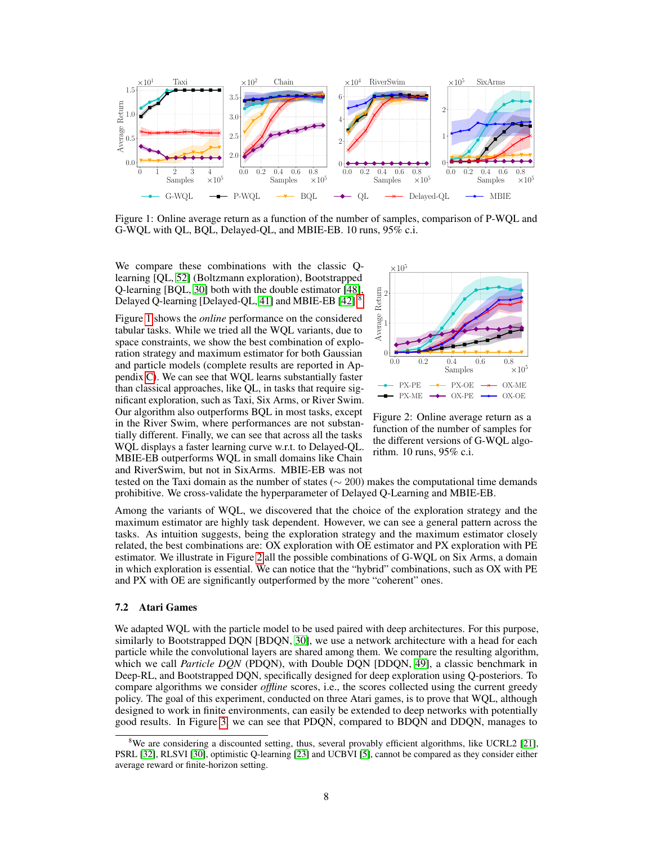<span id="page-7-2"></span>

Figure 1: Online average return as a function of the number of samples, comparison of P-WQL and G-WQL with QL, BQL, Delayed-QL, and MBIE-EB. 10 runs, 95% c.i.

We compare these combinations with the classic Qlearning [QL, [52\]](#page-12-2) (Boltzmann exploration), Bootstrapped Q-learning [BQL, [30\]](#page-10-3) both with the double estimator [\[48\]](#page-12-4), Delayed Q-learning [Delayed-QL, [41\]](#page-11-2) and MBIE-EB [\[42\]](#page-11-6).[8](#page-7-1)

Figure [1](#page-7-2) shows the *online* performance on the considered tabular tasks. While we tried all the WQL variants, due to space constraints, we show the best combination of exploration strategy and maximum estimator for both Gaussian and particle models (complete results are reported in Appendix [C\)](#page--1-4). We can see that WQL learns substantially faster than classical approaches, like QL, in tasks that require significant exploration, such as Taxi, Six Arms, or River Swim. Our algorithm also outperforms BQL in most tasks, except in the River Swim, where performances are not substantially different. Finally, we can see that across all the tasks WQL displays a faster learning curve w.r.t. to Delayed-QL. MBIE-EB outperforms WQL in small domains like Chain and RiverSwim, but not in SixArms. MBIE-EB was not

<span id="page-7-3"></span>

Figure 2: Online average return as a function of the number of samples for the different versions of G-WQL algorithm. 10 runs, 95% c.i.

tested on the Taxi domain as the number of states ( $\sim$  200) makes the computational time demands prohibitive. We cross-validate the hyperparameter of Delayed Q-Learning and MBIE-EB.

Among the variants of WQL, we discovered that the choice of the exploration strategy and the maximum estimator are highly task dependent. However, we can see a general pattern across the tasks. As intuition suggests, being the exploration strategy and the maximum estimator closely related, the best combinations are: OX exploration with OE estimator and PX exploration with PE estimator. We illustrate in Figure [2](#page-7-3) all the possible combinations of G-WQL on Six Arms, a domain in which exploration is essential. We can notice that the "hybrid" combinations, such as OX with PE and PX with OE are significantly outperformed by the more "coherent" ones.

#### <span id="page-7-0"></span>7.2 Atari Games

We adapted WQL with the particle model to be used paired with deep architectures. For this purpose, similarly to Bootstrapped DQN [BDQN, [30\]](#page-10-3), we use a network architecture with a head for each particle while the convolutional layers are shared among them. We compare the resulting algorithm, which we call *Particle DQN* (PDQN), with Double DQN [DDQN, [49\]](#page-12-5), a classic benchmark in Deep-RL, and Bootstrapped DQN, specifically designed for deep exploration using Q-posteriors. To compare algorithms we consider *offline* scores, i.e., the scores collected using the current greedy policy. The goal of this experiment, conducted on three Atari games, is to prove that WQL, although designed to work in finite environments, can easily be extended to deep networks with potentially good results. In Figure [3,](#page-8-1) we can see that PDQN, compared to BDQN and DDQN, manages to

<span id="page-7-1"></span><sup>&</sup>lt;sup>8</sup>We are considering a discounted setting, thus, several provably efficient algorithms, like UCRL2 [\[21\]](#page-10-2), PSRL [\[32\]](#page-11-12), RLSVI [\[30\]](#page-10-3), optimistic Q-learning [\[23\]](#page-10-4) and UCBVI [\[5\]](#page-9-10), cannot be compared as they consider either average reward or finite-horizon setting.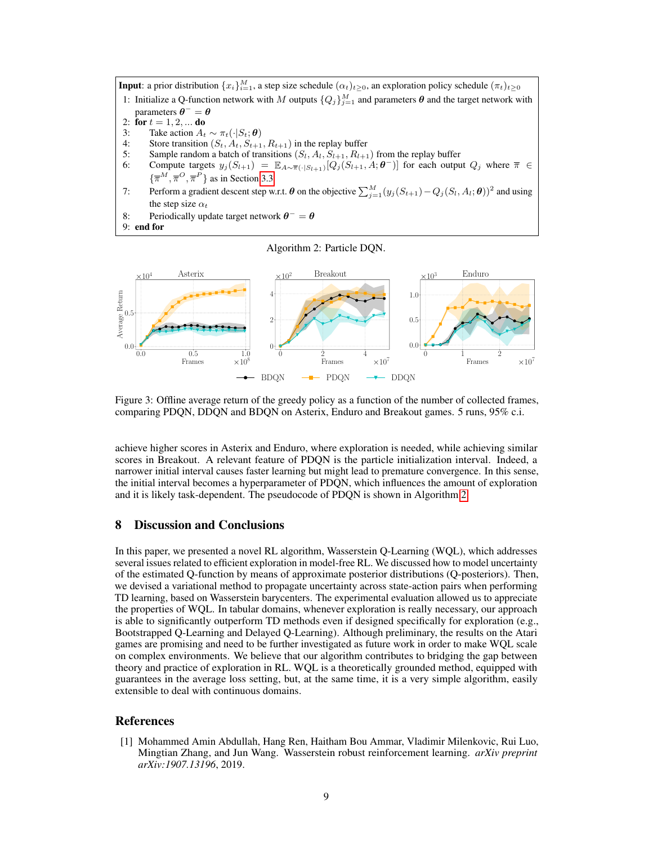<span id="page-8-2"></span>**Input**: a prior distribution  $\{x_i\}_{i=1}^M$ , a step size schedule  $(\alpha_t)_{t\geq0}$ , an exploration policy schedule  $(\pi_t)_{t\geq0}$ 1: Initialize a Q-function network with M outputs  ${Q_j}_{j=1}^M$  and parameters  $\theta$  and the target network with

- parameters  $\theta^-=\theta$
- 2: for  $t = 1, 2, ...$  do
- 3: Take action  $A_t \sim \pi_t(\cdot|S_t; \theta)$ <br>4: Store transition  $(S_t, A_t, S_{t+1})$
- Store transition  $(S_t, A_t, S_{t+1}, R_{t+1})$  in the replay buffer
- 5: Sample random a batch of transitions  $(S_l, A_l, S_{l+1}, R_{l+1})$  from the replay buffer
- 6: Compute targets  $y_j(S_{l+1}) = \mathbb{E}_{A \sim \overline{\pi}(\cdot | S_{l+1})}[Q_j(S_{l+1}, A; \theta^{-})]$  for each output  $Q_j$  where  $\overline{\pi} \in$  $\{\overline{\pi}^M, \overline{\pi}^O, \overline{\pi}^P\}$  as in Section [3.3](#page-3-1)
- 7: Perform a gradient descent step w.r.t.  $\boldsymbol{\theta}$  on the objective  $\sum_{j=1}^{M} (y_j (S_{t+1}) Q_j (S_l, A_l; \boldsymbol{\theta}))^2$  and using the step size  $\alpha_t$
- 8: Periodically update target network  $\theta^- = \theta$
- 9: end for

Algorithm 2: Particle DQN.

<span id="page-8-1"></span>

Figure 3: Offline average return of the greedy policy as a function of the number of collected frames, comparing PDQN, DDQN and BDQN on Asterix, Enduro and Breakout games. 5 runs, 95% c.i.

achieve higher scores in Asterix and Enduro, where exploration is needed, while achieving similar scores in Breakout. A relevant feature of PDQN is the particle initialization interval. Indeed, a narrower initial interval causes faster learning but might lead to premature convergence. In this sense, the initial interval becomes a hyperparameter of PDQN, which influences the amount of exploration and it is likely task-dependent. The pseudocode of PDQN is shown in Algorithm [2.](#page-8-2)

## 8 Discussion and Conclusions

In this paper, we presented a novel RL algorithm, Wasserstein Q-Learning (WQL), which addresses several issues related to efficient exploration in model-free RL. We discussed how to model uncertainty of the estimated Q-function by means of approximate posterior distributions (Q-posteriors). Then, we devised a variational method to propagate uncertainty across state-action pairs when performing TD learning, based on Wasserstein barycenters. The experimental evaluation allowed us to appreciate the properties of WQL. In tabular domains, whenever exploration is really necessary, our approach is able to significantly outperform TD methods even if designed specifically for exploration (e.g., Bootstrapped Q-Learning and Delayed Q-Learning). Although preliminary, the results on the Atari games are promising and need to be further investigated as future work in order to make WQL scale on complex environments. We believe that our algorithm contributes to bridging the gap between theory and practice of exploration in RL. WQL is a theoretically grounded method, equipped with guarantees in the average loss setting, but, at the same time, it is a very simple algorithm, easily extensible to deal with continuous domains.

## References

<span id="page-8-0"></span>[1] Mohammed Amin Abdullah, Hang Ren, Haitham Bou Ammar, Vladimir Milenkovic, Rui Luo, Mingtian Zhang, and Jun Wang. Wasserstein robust reinforcement learning. *arXiv preprint arXiv:1907.13196*, 2019.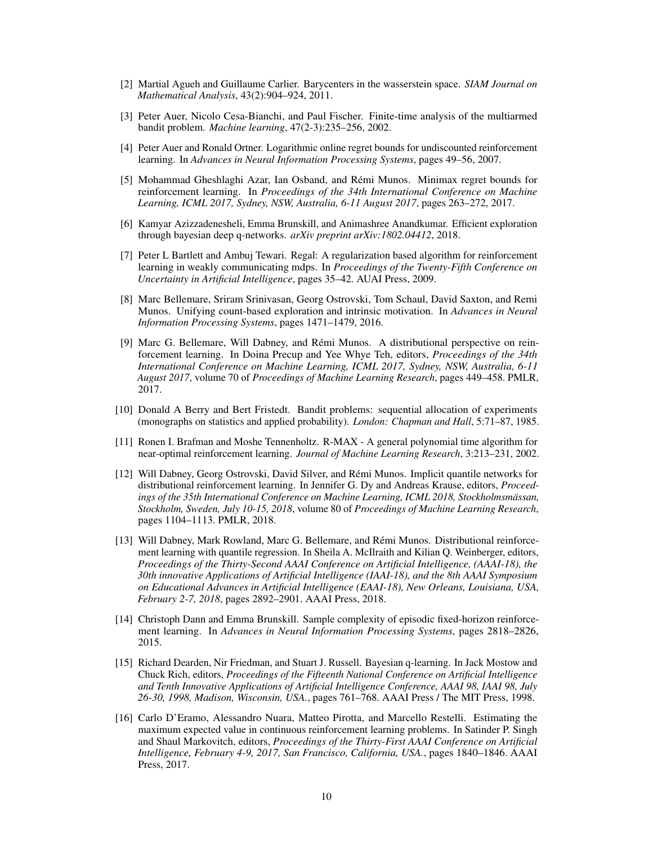- <span id="page-9-3"></span>[2] Martial Agueh and Guillaume Carlier. Barycenters in the wasserstein space. *SIAM Journal on Mathematical Analysis*, 43(2):904–924, 2011.
- <span id="page-9-7"></span>[3] Peter Auer, Nicolo Cesa-Bianchi, and Paul Fischer. Finite-time analysis of the multiarmed bandit problem. *Machine learning*, 47(2-3):235–256, 2002.
- <span id="page-9-12"></span>[4] Peter Auer and Ronald Ortner. Logarithmic online regret bounds for undiscounted reinforcement learning. In *Advances in Neural Information Processing Systems*, pages 49–56, 2007.
- <span id="page-9-10"></span>[5] Mohammad Gheshlaghi Azar, Ian Osband, and Rémi Munos. Minimax regret bounds for reinforcement learning. In *Proceedings of the 34th International Conference on Machine Learning, ICML 2017, Sydney, NSW, Australia, 6-11 August 2017*, pages 263–272, 2017.
- <span id="page-9-1"></span>[6] Kamyar Azizzadenesheli, Emma Brunskill, and Animashree Anandkumar. Efficient exploration through bayesian deep q-networks. *arXiv preprint arXiv:1802.04412*, 2018.
- <span id="page-9-11"></span>[7] Peter L Bartlett and Ambuj Tewari. Regal: A regularization based algorithm for reinforcement learning in weakly communicating mdps. In *Proceedings of the Twenty-Fifth Conference on Uncertainty in Artificial Intelligence*, pages 35–42. AUAI Press, 2009.
- <span id="page-9-14"></span>[8] Marc Bellemare, Sriram Srinivasan, Georg Ostrovski, Tom Schaul, David Saxton, and Remi Munos. Unifying count-based exploration and intrinsic motivation. In *Advances in Neural Information Processing Systems*, pages 1471–1479, 2016.
- <span id="page-9-4"></span>[9] Marc G. Bellemare, Will Dabney, and Rémi Munos. A distributional perspective on reinforcement learning. In Doina Precup and Yee Whye Teh, editors, *Proceedings of the 34th International Conference on Machine Learning, ICML 2017, Sydney, NSW, Australia, 6-11 August 2017*, volume 70 of *Proceedings of Machine Learning Research*, pages 449–458. PMLR, 2017.
- <span id="page-9-13"></span>[10] Donald A Berry and Bert Fristedt. Bandit problems: sequential allocation of experiments (monographs on statistics and applied probability). *London: Chapman and Hall*, 5:71–87, 1985.
- <span id="page-9-0"></span>[11] Ronen I. Brafman and Moshe Tennenholtz. R-MAX - A general polynomial time algorithm for near-optimal reinforcement learning. *Journal of Machine Learning Research*, 3:213–231, 2002.
- <span id="page-9-6"></span>[12] Will Dabney, Georg Ostrovski, David Silver, and Rémi Munos. Implicit quantile networks for distributional reinforcement learning. In Jennifer G. Dy and Andreas Krause, editors, *Proceedings of the 35th International Conference on Machine Learning, ICML 2018, Stockholmsmässan, Stockholm, Sweden, July 10-15, 2018*, volume 80 of *Proceedings of Machine Learning Research*, pages 1104–1113. PMLR, 2018.
- <span id="page-9-5"></span>[13] Will Dabney, Mark Rowland, Marc G. Bellemare, and Rémi Munos. Distributional reinforcement learning with quantile regression. In Sheila A. McIlraith and Kilian Q. Weinberger, editors, *Proceedings of the Thirty-Second AAAI Conference on Artificial Intelligence, (AAAI-18), the 30th innovative Applications of Artificial Intelligence (IAAI-18), and the 8th AAAI Symposium on Educational Advances in Artificial Intelligence (EAAI-18), New Orleans, Louisiana, USA, February 2-7, 2018*, pages 2892–2901. AAAI Press, 2018.
- <span id="page-9-9"></span>[14] Christoph Dann and Emma Brunskill. Sample complexity of episodic fixed-horizon reinforcement learning. In *Advances in Neural Information Processing Systems*, pages 2818–2826, 2015.
- <span id="page-9-2"></span>[15] Richard Dearden, Nir Friedman, and Stuart J. Russell. Bayesian q-learning. In Jack Mostow and Chuck Rich, editors, *Proceedings of the Fifteenth National Conference on Artificial Intelligence and Tenth Innovative Applications of Artificial Intelligence Conference, AAAI 98, IAAI 98, July 26-30, 1998, Madison, Wisconsin, USA.*, pages 761–768. AAAI Press / The MIT Press, 1998.
- <span id="page-9-8"></span>[16] Carlo D'Eramo, Alessandro Nuara, Matteo Pirotta, and Marcello Restelli. Estimating the maximum expected value in continuous reinforcement learning problems. In Satinder P. Singh and Shaul Markovitch, editors, *Proceedings of the Thirty-First AAAI Conference on Artificial Intelligence, February 4-9, 2017, San Francisco, California, USA.*, pages 1840–1846. AAAI Press, 2017.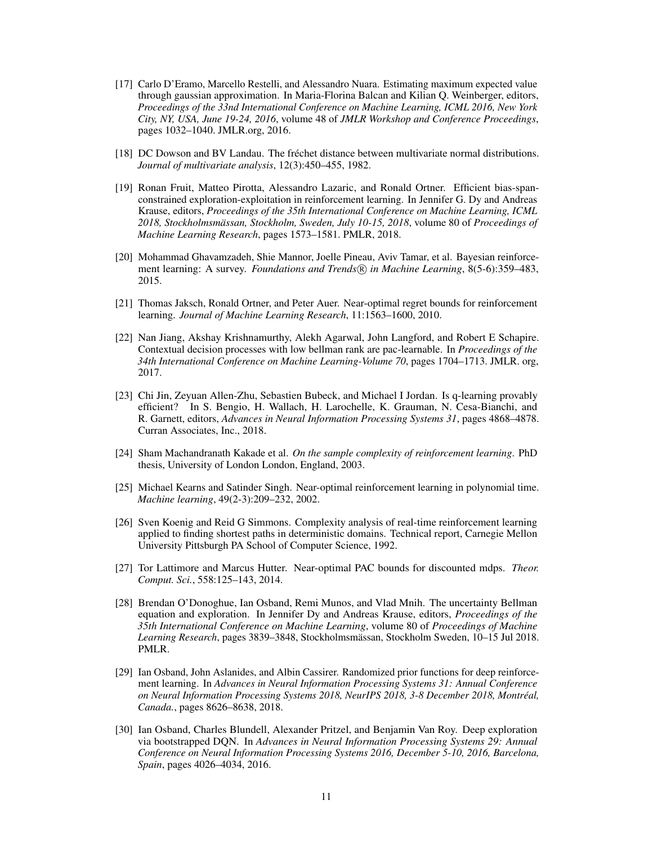- <span id="page-10-8"></span>[17] Carlo D'Eramo, Marcello Restelli, and Alessandro Nuara. Estimating maximum expected value through gaussian approximation. In Maria-Florina Balcan and Kilian Q. Weinberger, editors, *Proceedings of the 33nd International Conference on Machine Learning, ICML 2016, New York City, NY, USA, June 19-24, 2016*, volume 48 of *JMLR Workshop and Conference Proceedings*, pages 1032–1040. JMLR.org, 2016.
- [18] DC Dowson and BV Landau. The fréchet distance between multivariate normal distributions. *Journal of multivariate analysis*, 12(3):450–455, 1982.
- <span id="page-10-10"></span>[19] Ronan Fruit, Matteo Pirotta, Alessandro Lazaric, and Ronald Ortner. Efficient bias-spanconstrained exploration-exploitation in reinforcement learning. In Jennifer G. Dy and Andreas Krause, editors, *Proceedings of the 35th International Conference on Machine Learning, ICML 2018, Stockholmsmässan, Stockholm, Sweden, July 10-15, 2018*, volume 80 of *Proceedings of Machine Learning Research*, pages 1573–1581. PMLR, 2018.
- <span id="page-10-6"></span>[20] Mohammad Ghavamzadeh, Shie Mannor, Joelle Pineau, Aviv Tamar, et al. Bayesian reinforcement learning: A survey. *Foundations and Trends* ( $\widehat{R}$ ) in Machine Learning, 8(5-6):359–483, 2015.
- <span id="page-10-2"></span>[21] Thomas Jaksch, Ronald Ortner, and Peter Auer. Near-optimal regret bounds for reinforcement learning. *Journal of Machine Learning Research*, 11:1563–1600, 2010.
- <span id="page-10-12"></span>[22] Nan Jiang, Akshay Krishnamurthy, Alekh Agarwal, John Langford, and Robert E Schapire. Contextual decision processes with low bellman rank are pac-learnable. In *Proceedings of the 34th International Conference on Machine Learning-Volume 70*, pages 1704–1713. JMLR. org, 2017.
- <span id="page-10-4"></span>[23] Chi Jin, Zeyuan Allen-Zhu, Sebastien Bubeck, and Michael I Jordan. Is q-learning provably efficient? In S. Bengio, H. Wallach, H. Larochelle, K. Grauman, N. Cesa-Bianchi, and R. Garnett, editors, *Advances in Neural Information Processing Systems 31*, pages 4868–4878. Curran Associates, Inc., 2018.
- <span id="page-10-0"></span>[24] Sham Machandranath Kakade et al. *On the sample complexity of reinforcement learning*. PhD thesis, University of London London, England, 2003.
- <span id="page-10-1"></span>[25] Michael Kearns and Satinder Singh. Near-optimal reinforcement learning in polynomial time. *Machine learning*, 49(2-3):209–232, 2002.
- <span id="page-10-9"></span>[26] Sven Koenig and Reid G Simmons. Complexity analysis of real-time reinforcement learning applied to finding shortest paths in deterministic domains. Technical report, Carnegie Mellon University Pittsburgh PA School of Computer Science, 1992.
- <span id="page-10-11"></span>[27] Tor Lattimore and Marcus Hutter. Near-optimal PAC bounds for discounted mdps. *Theor. Comput. Sci.*, 558:125–143, 2014.
- <span id="page-10-7"></span>[28] Brendan O'Donoghue, Ian Osband, Remi Munos, and Vlad Mnih. The uncertainty Bellman equation and exploration. In Jennifer Dy and Andreas Krause, editors, *Proceedings of the 35th International Conference on Machine Learning*, volume 80 of *Proceedings of Machine Learning Research*, pages 3839–3848, Stockholmsmässan, Stockholm Sweden, 10–15 Jul 2018. PMLR.
- <span id="page-10-5"></span>[29] Ian Osband, John Aslanides, and Albin Cassirer. Randomized prior functions for deep reinforcement learning. In *Advances in Neural Information Processing Systems 31: Annual Conference on Neural Information Processing Systems 2018, NeurIPS 2018, 3-8 December 2018, Montréal, Canada.*, pages 8626–8638, 2018.
- <span id="page-10-3"></span>[30] Ian Osband, Charles Blundell, Alexander Pritzel, and Benjamin Van Roy. Deep exploration via bootstrapped DQN. In *Advances in Neural Information Processing Systems 29: Annual Conference on Neural Information Processing Systems 2016, December 5-10, 2016, Barcelona, Spain*, pages 4026–4034, 2016.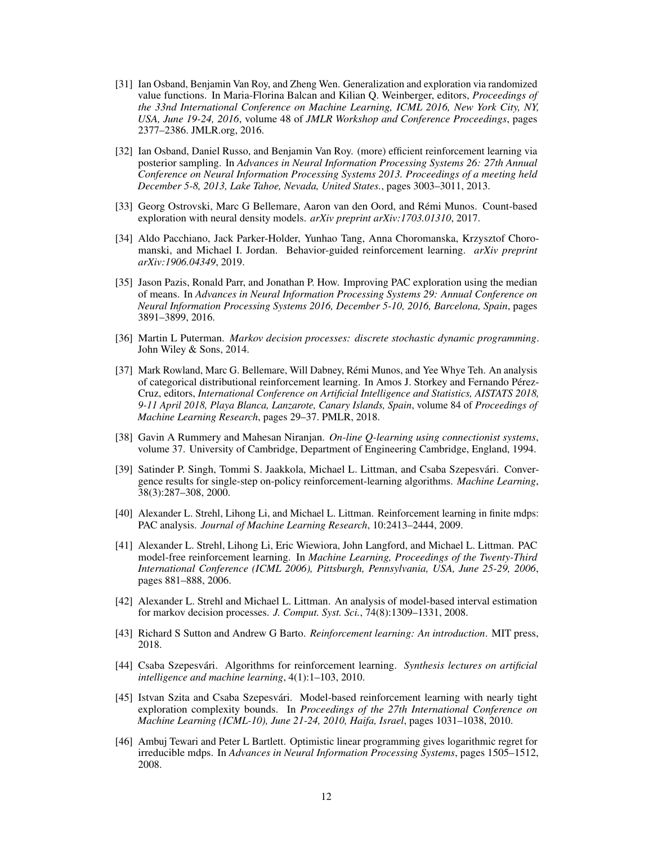- <span id="page-11-4"></span>[31] Ian Osband, Benjamin Van Roy, and Zheng Wen. Generalization and exploration via randomized value functions. In Maria-Florina Balcan and Kilian Q. Weinberger, editors, *Proceedings of the 33nd International Conference on Machine Learning, ICML 2016, New York City, NY, USA, June 19-24, 2016*, volume 48 of *JMLR Workshop and Conference Proceedings*, pages 2377–2386. JMLR.org, 2016.
- <span id="page-11-12"></span>[32] Ian Osband, Daniel Russo, and Benjamin Van Roy. (more) efficient reinforcement learning via posterior sampling. In *Advances in Neural Information Processing Systems 26: 27th Annual Conference on Neural Information Processing Systems 2013. Proceedings of a meeting held December 5-8, 2013, Lake Tahoe, Nevada, United States.*, pages 3003–3011, 2013.
- <span id="page-11-15"></span>[33] Georg Ostrovski, Marc G Bellemare, Aaron van den Oord, and Rémi Munos. Count-based exploration with neural density models. *arXiv preprint arXiv:1703.01310*, 2017.
- <span id="page-11-5"></span>[34] Aldo Pacchiano, Jack Parker-Holder, Yunhao Tang, Anna Choromanska, Krzysztof Choromanski, and Michael I. Jordan. Behavior-guided reinforcement learning. *arXiv preprint arXiv:1906.04349*, 2019.
- <span id="page-11-3"></span>[35] Jason Pazis, Ronald Parr, and Jonathan P. How. Improving PAC exploration using the median of means. In *Advances in Neural Information Processing Systems 29: Annual Conference on Neural Information Processing Systems 2016, December 5-10, 2016, Barcelona, Spain*, pages 3891–3899, 2016.
- <span id="page-11-7"></span>[36] Martin L Puterman. *Markov decision processes: discrete stochastic dynamic programming*. John Wiley & Sons, 2014.
- <span id="page-11-9"></span>[37] Mark Rowland, Marc G. Bellemare, Will Dabney, Rémi Munos, and Yee Whye Teh. An analysis of categorical distributional reinforcement learning. In Amos J. Storkey and Fernando Pérez-Cruz, editors, *International Conference on Artificial Intelligence and Statistics, AISTATS 2018, 9-11 April 2018, Playa Blanca, Lanzarote, Canary Islands, Spain*, volume 84 of *Proceedings of Machine Learning Research*, pages 29–37. PMLR, 2018.
- <span id="page-11-8"></span>[38] Gavin A Rummery and Mahesan Niranjan. *On-line Q-learning using connectionist systems*, volume 37. University of Cambridge, Department of Engineering Cambridge, England, 1994.
- <span id="page-11-1"></span>[39] Satinder P. Singh, Tommi S. Jaakkola, Michael L. Littman, and Csaba Szepesvári. Convergence results for single-step on-policy reinforcement-learning algorithms. *Machine Learning*, 38(3):287–308, 2000.
- <span id="page-11-10"></span>[40] Alexander L. Strehl, Lihong Li, and Michael L. Littman. Reinforcement learning in finite mdps: PAC analysis. *Journal of Machine Learning Research*, 10:2413–2444, 2009.
- <span id="page-11-2"></span>[41] Alexander L. Strehl, Lihong Li, Eric Wiewiora, John Langford, and Michael L. Littman. PAC model-free reinforcement learning. In *Machine Learning, Proceedings of the Twenty-Third International Conference (ICML 2006), Pittsburgh, Pennsylvania, USA, June 25-29, 2006*, pages 881–888, 2006.
- <span id="page-11-6"></span>[42] Alexander L. Strehl and Michael L. Littman. An analysis of model-based interval estimation for markov decision processes. *J. Comput. Syst. Sci.*, 74(8):1309–1331, 2008.
- <span id="page-11-0"></span>[43] Richard S Sutton and Andrew G Barto. *Reinforcement learning: An introduction*. MIT press, 2018.
- <span id="page-11-11"></span>[44] Csaba Szepesvári. Algorithms for reinforcement learning. *Synthesis lectures on artificial intelligence and machine learning*, 4(1):1–103, 2010.
- <span id="page-11-14"></span>[45] Istvan Szita and Csaba Szepesvári. Model-based reinforcement learning with nearly tight exploration complexity bounds. In *Proceedings of the 27th International Conference on Machine Learning (ICML-10), June 21-24, 2010, Haifa, Israel*, pages 1031–1038, 2010.
- <span id="page-11-13"></span>[46] Ambuj Tewari and Peter L Bartlett. Optimistic linear programming gives logarithmic regret for irreducible mdps. In *Advances in Neural Information Processing Systems*, pages 1505–1512, 2008.